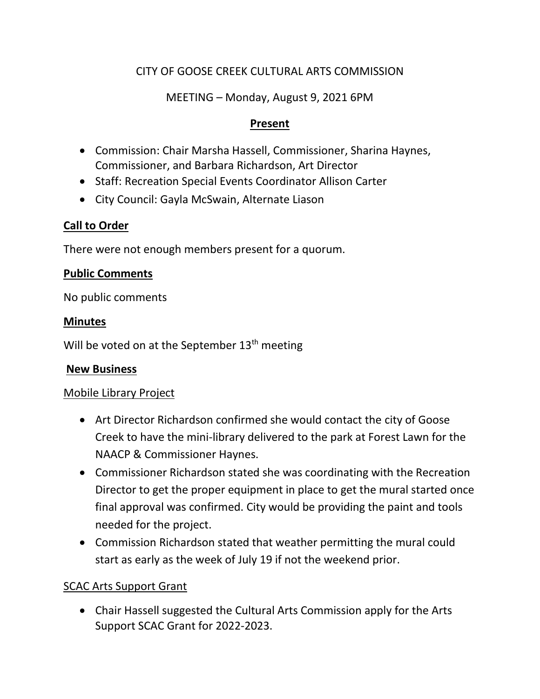# CITY OF GOOSE CREEK CULTURAL ARTS COMMISSION

## MEETING – Monday, August 9, 2021 6PM

### **Present**

- Commission: Chair Marsha Hassell, Commissioner, Sharina Haynes, Commissioner, and Barbara Richardson, Art Director
- Staff: Recreation Special Events Coordinator Allison Carter
- City Council: Gayla McSwain, Alternate Liason

# **Call to Order**

There were not enough members present for a quorum.

### **Public Comments**

No public comments

### **Minutes**

Will be voted on at the September  $13<sup>th</sup>$  meeting

### **New Business**

### Mobile Library Project

- Art Director Richardson confirmed she would contact the city of Goose Creek to have the mini-library delivered to the park at Forest Lawn for the NAACP & Commissioner Haynes.
- Commissioner Richardson stated she was coordinating with the Recreation Director to get the proper equipment in place to get the mural started once final approval was confirmed. City would be providing the paint and tools needed for the project.
- Commission Richardson stated that weather permitting the mural could start as early as the week of July 19 if not the weekend prior.

# SCAC Arts Support Grant

• Chair Hassell suggested the Cultural Arts Commission apply for the Arts Support SCAC Grant for 2022-2023.